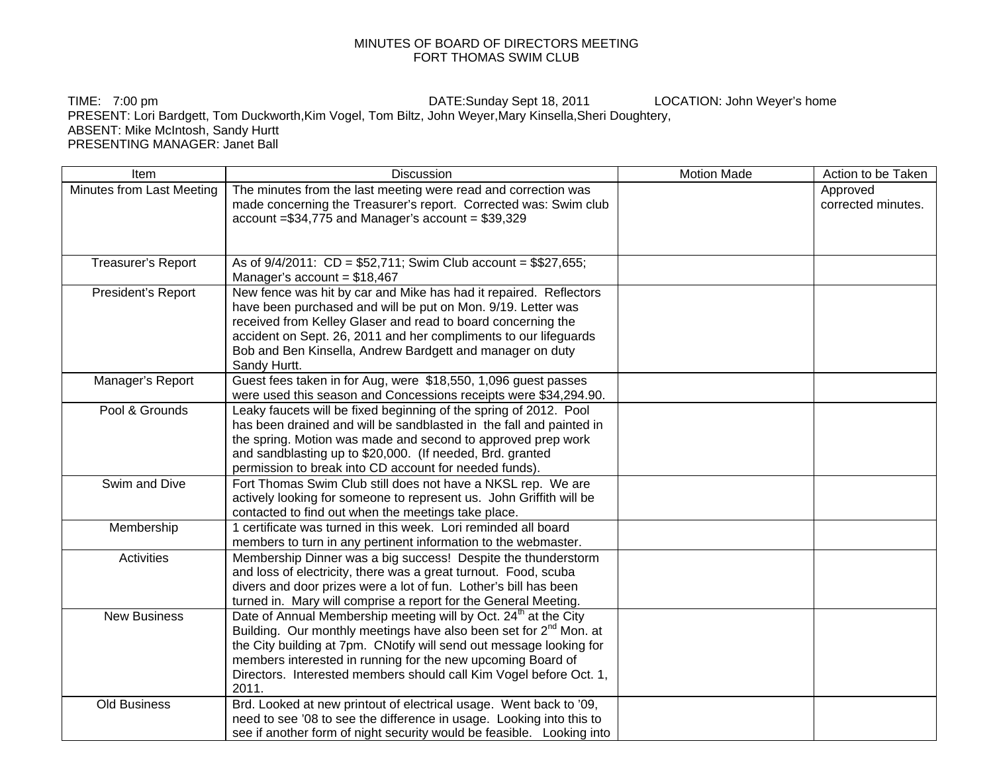## MINUTES OF BOARD OF DIRECTORS MEETING FORT THOMAS SWIM CLUB

TIME: 7:00 pm DATE:Sunday Sept 18, 2011 LOCATION: John Weyer's home PRESENT: Lori Bardgett, Tom Duckworth,Kim Vogel, Tom Biltz, John Weyer,Mary Kinsella,Sheri Doughtery, ABSENT: Mike McIntosh, Sandy Hurtt PRESENTING MANAGER: Janet Ball

| Item                      | <b>Discussion</b>                                                                                                                                                                                                                                                                                                                                                                 | <b>Motion Made</b> | Action to be Taken             |
|---------------------------|-----------------------------------------------------------------------------------------------------------------------------------------------------------------------------------------------------------------------------------------------------------------------------------------------------------------------------------------------------------------------------------|--------------------|--------------------------------|
| Minutes from Last Meeting | The minutes from the last meeting were read and correction was<br>made concerning the Treasurer's report. Corrected was: Swim club<br>$account = $34,775$ and Manager's $account = $39,329$                                                                                                                                                                                       |                    | Approved<br>corrected minutes. |
| Treasurer's Report        | As of 9/4/2011: CD = \$52,711; Swim Club account = \$\$27,655;<br>Manager's account = $$18,467$                                                                                                                                                                                                                                                                                   |                    |                                |
| President's Report        | New fence was hit by car and Mike has had it repaired. Reflectors<br>have been purchased and will be put on Mon. 9/19. Letter was<br>received from Kelley Glaser and read to board concerning the<br>accident on Sept. 26, 2011 and her compliments to our lifeguards<br>Bob and Ben Kinsella, Andrew Bardgett and manager on duty<br>Sandy Hurtt.                                |                    |                                |
| Manager's Report          | Guest fees taken in for Aug, were \$18,550, 1,096 guest passes<br>were used this season and Concessions receipts were \$34,294.90.                                                                                                                                                                                                                                                |                    |                                |
| Pool & Grounds            | Leaky faucets will be fixed beginning of the spring of 2012. Pool<br>has been drained and will be sandblasted in the fall and painted in<br>the spring. Motion was made and second to approved prep work<br>and sandblasting up to \$20,000. (If needed, Brd. granted<br>permission to break into CD account for needed funds).                                                   |                    |                                |
| Swim and Dive             | Fort Thomas Swim Club still does not have a NKSL rep. We are<br>actively looking for someone to represent us. John Griffith will be<br>contacted to find out when the meetings take place.                                                                                                                                                                                        |                    |                                |
| Membership                | 1 certificate was turned in this week. Lori reminded all board<br>members to turn in any pertinent information to the webmaster.                                                                                                                                                                                                                                                  |                    |                                |
| <b>Activities</b>         | Membership Dinner was a big success! Despite the thunderstorm<br>and loss of electricity, there was a great turnout. Food, scuba<br>divers and door prizes were a lot of fun. Lother's bill has been<br>turned in. Mary will comprise a report for the General Meeting.                                                                                                           |                    |                                |
| <b>New Business</b>       | Date of Annual Membership meeting will by Oct. 24 <sup>th</sup> at the City<br>Building. Our monthly meetings have also been set for 2 <sup>nd</sup> Mon. at<br>the City building at 7pm. CNotify will send out message looking for<br>members interested in running for the new upcoming Board of<br>Directors. Interested members should call Kim Vogel before Oct. 1,<br>2011. |                    |                                |
| <b>Old Business</b>       | Brd. Looked at new printout of electrical usage. Went back to '09,<br>need to see '08 to see the difference in usage. Looking into this to<br>see if another form of night security would be feasible. Looking into                                                                                                                                                               |                    |                                |